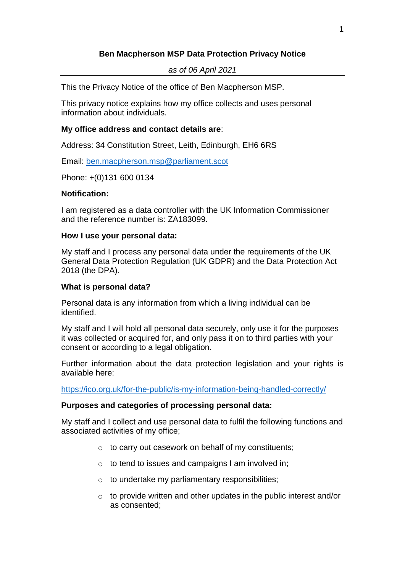# **Ben Macpherson MSP Data Protection Privacy Notice**

### *as of 06 April 2021*

This the Privacy Notice of the office of Ben Macpherson MSP.

This privacy notice explains how my office collects and uses personal information about individuals.

## **My office address and contact details are**:

Address: 34 Constitution Street, Leith, Edinburgh, EH6 6RS

Email: [ben.macpherson.msp@parliament.scot](mailto:ben.macpherson.msp@parliament.scot)

Phone: +(0)131 600 0134

## **Notification:**

I am registered as a data controller with the UK Information Commissioner and the reference number is: ZA183099.

### **How I use your personal data:**

My staff and I process any personal data under the requirements of the UK General Data Protection Regulation (UK GDPR) and the Data Protection Act 2018 (the DPA).

### **What is personal data?**

Personal data is any information from which a living individual can be identified.

My staff and I will hold all personal data securely, only use it for the purposes it was collected or acquired for, and only pass it on to third parties with your consent or according to a legal obligation.

Further information about the data protection legislation and your rights is available here:

<https://ico.org.uk/for-the-public/is-my-information-being-handled-correctly/>

### **Purposes and categories of processing personal data:**

My staff and I collect and use personal data to fulfil the following functions and associated activities of my office;

- o to carry out casework on behalf of my constituents;
- $\circ$  to tend to issues and campaigns I am involved in;
- o to undertake my parliamentary responsibilities;
- $\circ$  to provide written and other updates in the public interest and/or as consented;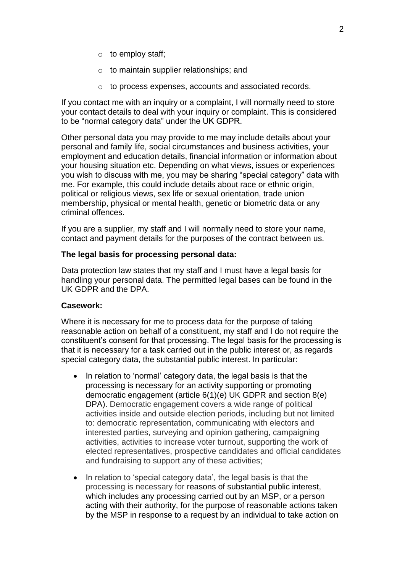- $\circ$  to employ staff;
- o to maintain supplier relationships; and
- o to process expenses, accounts and associated records.

If you contact me with an inquiry or a complaint, I will normally need to store your contact details to deal with your inquiry or complaint. This is considered to be "normal category data" under the UK GDPR.

Other personal data you may provide to me may include details about your personal and family life, social circumstances and business activities, your employment and education details, financial information or information about your housing situation etc. Depending on what views, issues or experiences you wish to discuss with me, you may be sharing "special category" data with me. For example, this could include details about race or ethnic origin, political or religious views, sex life or sexual orientation, trade union membership, physical or mental health, genetic or biometric data or any criminal offences.

If you are a supplier, my staff and I will normally need to store your name, contact and payment details for the purposes of the contract between us.

### **The legal basis for processing personal data:**

Data protection law states that my staff and I must have a legal basis for handling your personal data. The permitted legal bases can be found in the UK GDPR and the DPA.

### **Casework:**

Where it is necessary for me to process data for the purpose of taking reasonable action on behalf of a constituent, my staff and I do not require the constituent's consent for that processing. The legal basis for the processing is that it is necessary for a task carried out in the public interest or, as regards special category data, the substantial public interest. In particular:

- In relation to 'normal' category data, the legal basis is that the processing is necessary for an activity supporting or promoting democratic engagement (article 6(1)(e) UK GDPR and section 8(e) DPA). Democratic engagement covers a wide range of political activities inside and outside election periods, including but not limited to: democratic representation, communicating with electors and interested parties, surveying and opinion gathering, campaigning activities, activities to increase voter turnout, supporting the work of elected representatives, prospective candidates and official candidates and fundraising to support any of these activities;
- In relation to 'special category data', the legal basis is that the processing is necessary for reasons of substantial public interest, which includes any processing carried out by an MSP, or a person acting with their authority, for the purpose of reasonable actions taken by the MSP in response to a request by an individual to take action on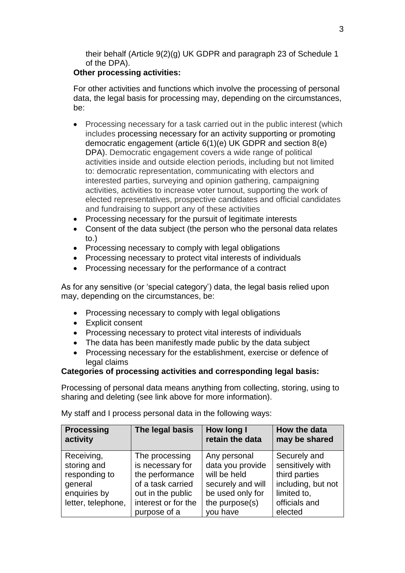their behalf (Article 9(2)(g) UK GDPR and paragraph 23 of Schedule 1 of the DPA).

# **Other processing activities:**

For other activities and functions which involve the processing of personal data, the legal basis for processing may, depending on the circumstances, be:

- Processing necessary for a task carried out in the public interest (which includes processing necessary for an activity supporting or promoting democratic engagement (article 6(1)(e) UK GDPR and section 8(e) DPA). Democratic engagement covers a wide range of political activities inside and outside election periods, including but not limited to: democratic representation, communicating with electors and interested parties, surveying and opinion gathering, campaigning activities, activities to increase voter turnout, supporting the work of elected representatives, prospective candidates and official candidates and fundraising to support any of these activities
- Processing necessary for the pursuit of legitimate interests
- Consent of the data subject (the person who the personal data relates to.)
- Processing necessary to comply with legal obligations
- Processing necessary to protect vital interests of individuals
- Processing necessary for the performance of a contract

As for any sensitive (or 'special category') data, the legal basis relied upon may, depending on the circumstances, be:

- Processing necessary to comply with legal obligations
- Explicit consent
- Processing necessary to protect vital interests of individuals
- The data has been manifestly made public by the data subject
- Processing necessary for the establishment, exercise or defence of legal claims

# **Categories of processing activities and corresponding legal basis:**

Processing of personal data means anything from collecting, storing, using to sharing and deleting (see link above for more information).

| <b>Processing</b><br>activity | The legal basis     | How long I<br>retain the data | How the data<br>may be shared |
|-------------------------------|---------------------|-------------------------------|-------------------------------|
| Receiving,                    | The processing      | Any personal                  | Securely and                  |
| storing and                   | is necessary for    | data you provide              | sensitively with              |
| responding to                 | the performance     | will be held                  | third parties                 |
| general                       | of a task carried   | securely and will             | including, but not            |
| enquiries by                  | out in the public   | be used only for              | limited to,                   |
| letter, telephone,            | interest or for the | the purpose(s)                | officials and                 |
|                               | purpose of a        | you have                      | elected                       |

My staff and I process personal data in the following ways: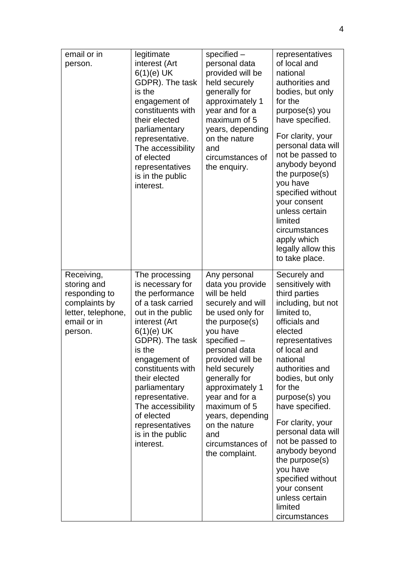| email or in<br>person.                                                                                      | legitimate<br>interest (Art<br>$6(1)(e)$ UK<br>GDPR). The task<br>is the<br>engagement of<br>constituents with<br>their elected<br>parliamentary<br>representative.<br>The accessibility<br>of elected<br>representatives<br>is in the public<br>interest.                                                                                      | specified -<br>personal data<br>provided will be<br>held securely<br>generally for<br>approximately 1<br>year and for a<br>maximum of 5<br>years, depending<br>on the nature<br>and<br>circumstances of<br>the enquiry.                                                                                                                                 | representatives<br>of local and<br>national<br>authorities and<br>bodies, but only<br>for the<br>purpose(s) you<br>have specified.<br>For clarity, your<br>personal data will<br>not be passed to<br>anybody beyond<br>the purpose(s)<br>you have<br>specified without<br>your consent<br>unless certain<br>limited<br>circumstances<br>apply which<br>legally allow this<br>to take place.                                                                   |
|-------------------------------------------------------------------------------------------------------------|-------------------------------------------------------------------------------------------------------------------------------------------------------------------------------------------------------------------------------------------------------------------------------------------------------------------------------------------------|---------------------------------------------------------------------------------------------------------------------------------------------------------------------------------------------------------------------------------------------------------------------------------------------------------------------------------------------------------|---------------------------------------------------------------------------------------------------------------------------------------------------------------------------------------------------------------------------------------------------------------------------------------------------------------------------------------------------------------------------------------------------------------------------------------------------------------|
| Receiving,<br>storing and<br>responding to<br>complaints by<br>letter, telephone,<br>email or in<br>person. | The processing<br>is necessary for<br>the performance<br>of a task carried<br>out in the public<br>interest (Art<br>$6(1)(e)$ UK<br>GDPR). The task<br>is the<br>engagement of<br>constituents with<br>their elected<br>parliamentary<br>representative.<br>The accessibility<br>of elected<br>representatives<br>is in the public<br>interest. | Any personal<br>data you provide<br>will be held<br>securely and will<br>be used only for<br>the purpose $(s)$<br>you have<br>specified -<br>personal data<br>provided will be<br>held securely<br>generally for<br>approximately 1<br>year and for a<br>maximum of 5<br>years, depending<br>on the nature<br>and<br>circumstances of<br>the complaint. | Securely and<br>sensitively with<br>third parties<br>including, but not<br>limited to,<br>officials and<br>elected<br>representatives<br>of local and<br>national<br>authorities and<br>bodies, but only<br>for the<br>purpose(s) you<br>have specified.<br>For clarity, your<br>personal data will<br>not be passed to<br>anybody beyond<br>the purpose $(s)$<br>you have<br>specified without<br>your consent<br>unless certain<br>limited<br>circumstances |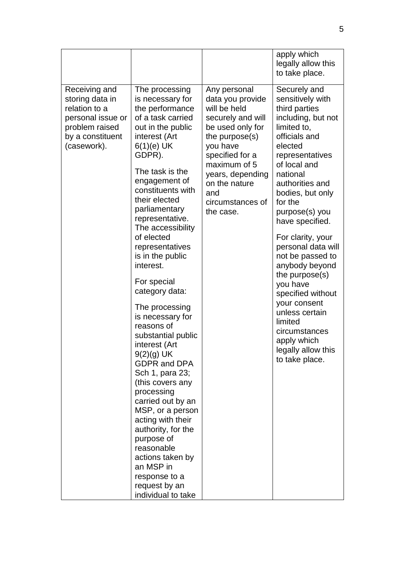|                                                                                                                             |                                                                                                                                                                                                                                                                                                                                                                                                                                                                                                                                                                                                                                                                                                                                                                                  |                                                                                                                                                                                                                                            | apply which<br>legally allow this<br>to take place.                                                                                                                                                                                                                                                                                                                                                                                                                                                                  |
|-----------------------------------------------------------------------------------------------------------------------------|----------------------------------------------------------------------------------------------------------------------------------------------------------------------------------------------------------------------------------------------------------------------------------------------------------------------------------------------------------------------------------------------------------------------------------------------------------------------------------------------------------------------------------------------------------------------------------------------------------------------------------------------------------------------------------------------------------------------------------------------------------------------------------|--------------------------------------------------------------------------------------------------------------------------------------------------------------------------------------------------------------------------------------------|----------------------------------------------------------------------------------------------------------------------------------------------------------------------------------------------------------------------------------------------------------------------------------------------------------------------------------------------------------------------------------------------------------------------------------------------------------------------------------------------------------------------|
| Receiving and<br>storing data in<br>relation to a<br>personal issue or<br>problem raised<br>by a constituent<br>(casework). | The processing<br>is necessary for<br>the performance<br>of a task carried<br>out in the public<br>interest (Art<br>$6(1)(e)$ UK<br>GDPR).<br>The task is the<br>engagement of<br>constituents with<br>their elected<br>parliamentary<br>representative.<br>The accessibility<br>of elected<br>representatives<br>is in the public<br>interest.<br>For special<br>category data:<br>The processing<br>is necessary for<br>reasons of<br>substantial public<br>interest (Art<br>$9(2)(g)$ UK<br><b>GDPR and DPA</b><br>Sch 1, para 23;<br>(this covers any<br>processing<br>carried out by an<br>MSP, or a person<br>acting with their<br>authority, for the<br>purpose of<br>reasonable<br>actions taken by<br>an MSP in<br>response to a<br>request by an<br>individual to take | Any personal<br>data you provide<br>will be held<br>securely and will<br>be used only for<br>the purpose $(s)$<br>you have<br>specified for a<br>maximum of 5<br>years, depending<br>on the nature<br>and<br>circumstances of<br>the case. | Securely and<br>sensitively with<br>third parties<br>including, but not<br>limited to,<br>officials and<br>elected<br>representatives<br>of local and<br>national<br>authorities and<br>bodies, but only<br>for the<br>purpose(s) you<br>have specified.<br>For clarity, your<br>personal data will<br>not be passed to<br>anybody beyond<br>the purpose $(s)$<br>you have<br>specified without<br>your consent<br>unless certain<br>limited<br>circumstances<br>apply which<br>legally allow this<br>to take place. |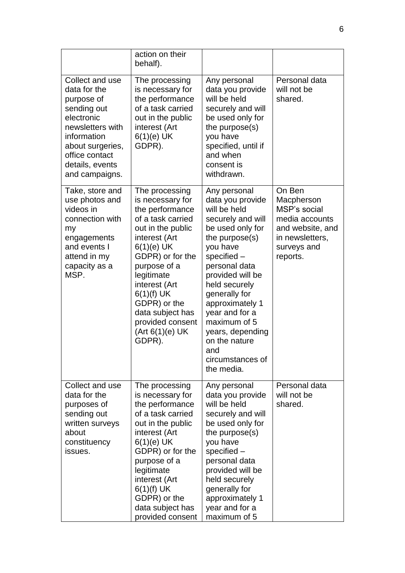|                                                                                                                                                                                          | action on their<br>behalf).                                                                                                                                                                                                                                                                               |                                                                                                                                                                                                                                                                                                                                                       |                                                                                                                          |
|------------------------------------------------------------------------------------------------------------------------------------------------------------------------------------------|-----------------------------------------------------------------------------------------------------------------------------------------------------------------------------------------------------------------------------------------------------------------------------------------------------------|-------------------------------------------------------------------------------------------------------------------------------------------------------------------------------------------------------------------------------------------------------------------------------------------------------------------------------------------------------|--------------------------------------------------------------------------------------------------------------------------|
| Collect and use<br>data for the<br>purpose of<br>sending out<br>electronic<br>newsletters with<br>information<br>about surgeries,<br>office contact<br>details, events<br>and campaigns. | The processing<br>is necessary for<br>the performance<br>of a task carried<br>out in the public<br>interest (Art<br>$6(1)(e)$ UK<br>GDPR).                                                                                                                                                                | Any personal<br>data you provide<br>will be held<br>securely and will<br>be used only for<br>the purpose(s)<br>you have<br>specified, until if<br>and when<br>consent is<br>withdrawn.                                                                                                                                                                | Personal data<br>will not be<br>shared.                                                                                  |
| Take, store and<br>use photos and<br>videos in<br>connection with<br>my<br>engagements<br>and events I<br>attend in my<br>capacity as a<br>MSP.                                          | The processing<br>is necessary for<br>the performance<br>of a task carried<br>out in the public<br>interest (Art<br>$6(1)(e)$ UK<br>GDPR) or for the<br>purpose of a<br>legitimate<br>interest (Art<br>$6(1)(f)$ UK<br>GDPR) or the<br>data subject has<br>provided consent<br>(Art 6(1)(e) UK)<br>GDPR). | Any personal<br>data you provide<br>will be held<br>securely and will<br>be used only for<br>the purpose $(s)$<br>you have<br>specified $-$<br>personal data<br>provided will be<br>held securely<br>generally for<br>approximately 1<br>year and for a<br>maximum of 5<br>years, depending<br>on the nature<br>and<br>circumstances of<br>the media. | On Ben<br>Macpherson<br>MSP's social<br>media accounts<br>and website, and<br>in newsletters,<br>surveys and<br>reports. |
| Collect and use<br>data for the<br>purposes of<br>sending out<br>written surveys<br>about<br>constituency<br>issues.                                                                     | The processing<br>is necessary for<br>the performance<br>of a task carried<br>out in the public<br>interest (Art<br>$6(1)(e)$ UK<br>GDPR) or for the<br>purpose of a<br>legitimate<br>interest (Art<br>$6(1)(f)$ UK<br>GDPR) or the<br>data subject has<br>provided consent                               | Any personal<br>data you provide<br>will be held<br>securely and will<br>be used only for<br>the purpose(s)<br>you have<br>specified $-$<br>personal data<br>provided will be<br>held securely<br>generally for<br>approximately 1<br>year and for a<br>maximum of 5                                                                                  | Personal data<br>will not be<br>shared.                                                                                  |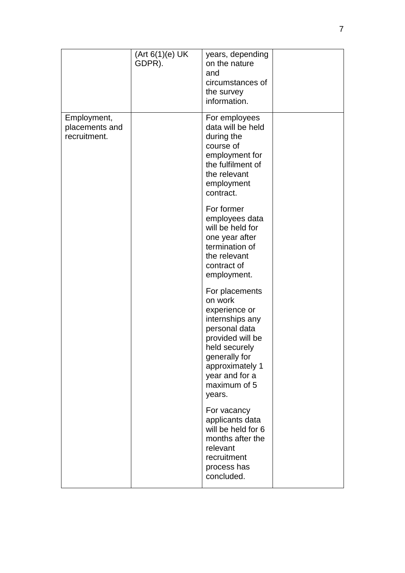|                                               | (Art 6(1)(e) UK<br>GDPR). | years, depending<br>on the nature<br>and<br>circumstances of<br>the survey<br>information.                                                                                                          |  |
|-----------------------------------------------|---------------------------|-----------------------------------------------------------------------------------------------------------------------------------------------------------------------------------------------------|--|
| Employment,<br>placements and<br>recruitment. |                           | For employees<br>data will be held<br>during the<br>course of<br>employment for<br>the fulfilment of<br>the relevant<br>employment<br>contract.                                                     |  |
|                                               |                           | For former<br>employees data<br>will be held for<br>one year after<br>termination of<br>the relevant<br>contract of<br>employment.                                                                  |  |
|                                               |                           | For placements<br>on work<br>experience or<br>internships any<br>personal data<br>provided will be<br>held securely<br>generally for<br>approximately 1<br>year and for a<br>maximum of 5<br>years. |  |
|                                               |                           | For vacancy<br>applicants data<br>will be held for 6<br>months after the<br>relevant<br>recruitment<br>process has<br>concluded.                                                                    |  |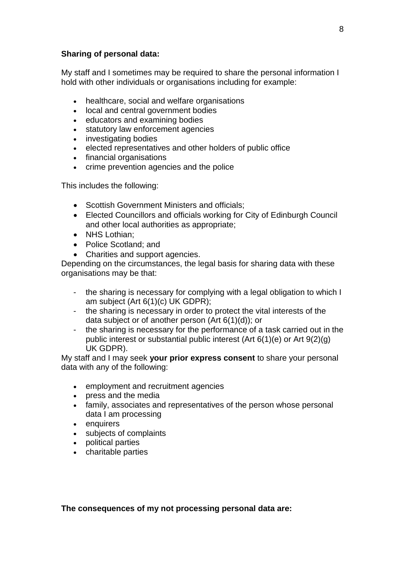### **Sharing of personal data:**

My staff and I sometimes may be required to share the personal information I hold with other individuals or organisations including for example:

- healthcare, social and welfare organisations
- local and central government bodies
- educators and examining bodies
- statutory law enforcement agencies
- investigating bodies
- elected representatives and other holders of public office
- financial organisations
- crime prevention agencies and the police

This includes the following:

- Scottish Government Ministers and officials:
- Elected Councillors and officials working for City of Edinburgh Council and other local authorities as appropriate;
- NHS Lothian;
- Police Scotland; and
- Charities and support agencies.

Depending on the circumstances, the legal basis for sharing data with these organisations may be that:

- the sharing is necessary for complying with a legal obligation to which I am subject (Art 6(1)(c) UK GDPR);
- the sharing is necessary in order to protect the vital interests of the data subject or of another person (Art 6(1)(d)); or
- the sharing is necessary for the performance of a task carried out in the public interest or substantial public interest (Art 6(1)(e) or Art 9(2)(g) UK GDPR).

My staff and I may seek **your prior express consent** to share your personal data with any of the following:

- employment and recruitment agencies
- press and the media
- family, associates and representatives of the person whose personal data I am processing
- enquirers
- subjects of complaints
- political parties
- charitable parties

**The consequences of my not processing personal data are:**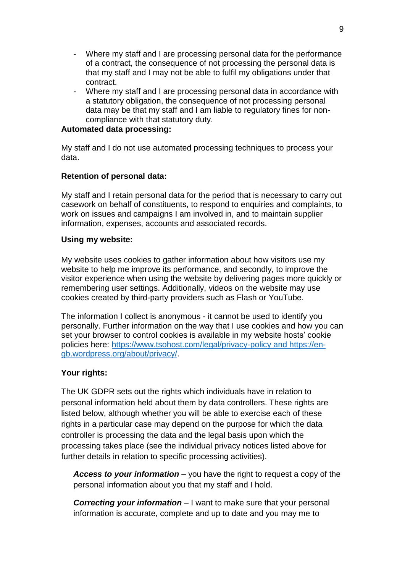- Where my staff and I are processing personal data for the performance of a contract, the consequence of not processing the personal data is that my staff and I may not be able to fulfil my obligations under that contract.
- Where my staff and I are processing personal data in accordance with a statutory obligation, the consequence of not processing personal data may be that my staff and I am liable to regulatory fines for noncompliance with that statutory duty.

## **Automated data processing:**

My staff and I do not use automated processing techniques to process your data.

## **Retention of personal data:**

My staff and I retain personal data for the period that is necessary to carry out casework on behalf of constituents, to respond to enquiries and complaints, to work on issues and campaigns I am involved in, and to maintain supplier information, expenses, accounts and associated records.

### **Using my website:**

My website uses cookies to gather information about how visitors use my website to help me improve its performance, and secondly, to improve the visitor experience when using the website by delivering pages more quickly or remembering user settings. Additionally, videos on the website may use cookies created by third-party providers such as Flash or YouTube.

The information I collect is anonymous - it cannot be used to identify you personally. Further information on the way that I use cookies and how you can set your browser to control cookies is available in my website hosts' cookie policies here:<https://www.tsohost.com/legal/privacy-policy> and https://engb.wordpress.org/about/privacy/.

## **Your rights:**

The UK GDPR sets out the rights which individuals have in relation to personal information held about them by data controllers. These rights are listed below, although whether you will be able to exercise each of these rights in a particular case may depend on the purpose for which the data controller is processing the data and the legal basis upon which the processing takes place (see the individual privacy notices listed above for further details in relation to specific processing activities).

*Access to your information* – you have the right to request a copy of the personal information about you that my staff and I hold.

*Correcting your information* – I want to make sure that your personal information is accurate, complete and up to date and you may me to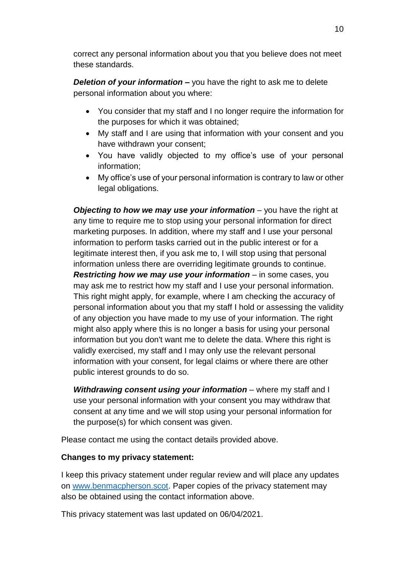correct any personal information about you that you believe does not meet these standards.

*Deletion of your information –* you have the right to ask me to delete personal information about you where:

- You consider that my staff and I no longer require the information for the purposes for which it was obtained;
- My staff and I are using that information with your consent and you have withdrawn your consent;
- You have validly objected to my office's use of your personal information;
- My office's use of your personal information is contrary to law or other legal obligations.

*Objecting to how we may use your information* – you have the right at any time to require me to stop using your personal information for direct marketing purposes. In addition, where my staff and I use your personal information to perform tasks carried out in the public interest or for a legitimate interest then, if you ask me to, I will stop using that personal information unless there are overriding legitimate grounds to continue. *Restricting how we may use your information – in some cases, you* may ask me to restrict how my staff and I use your personal information. This right might apply, for example, where I am checking the accuracy of personal information about you that my staff I hold or assessing the validity of any objection you have made to my use of your information. The right might also apply where this is no longer a basis for using your personal information but you don't want me to delete the data. Where this right is validly exercised, my staff and I may only use the relevant personal information with your consent, for legal claims or where there are other public interest grounds to do so.

**Withdrawing consent using your information** – where my staff and I use your personal information with your consent you may withdraw that consent at any time and we will stop using your personal information for the purpose(s) for which consent was given.

Please contact me using the contact details provided above.

## **Changes to my privacy statement:**

I keep this privacy statement under regular review and will place any updates on [www.benmacpherson.scot.](http://www.benmacpherson.scot/) Paper copies of the privacy statement may also be obtained using the contact information above.

This privacy statement was last updated on 06/04/2021.